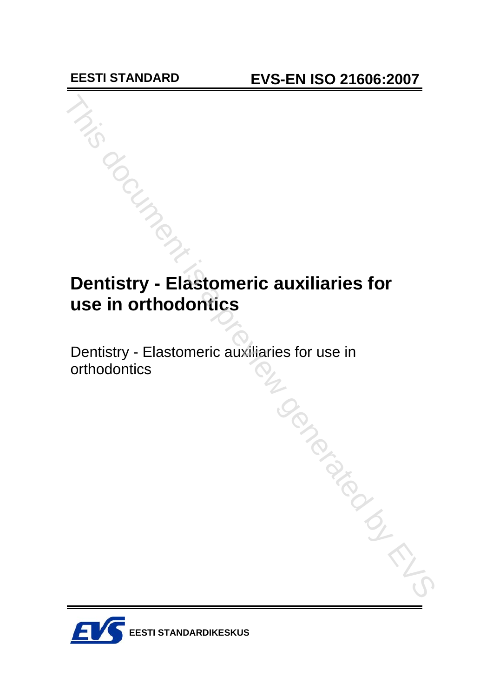# **Dentistry - Elastomeric auxiliaries for use in orthodontics**

Dentistry - Elastomeric auxiliaries for use in

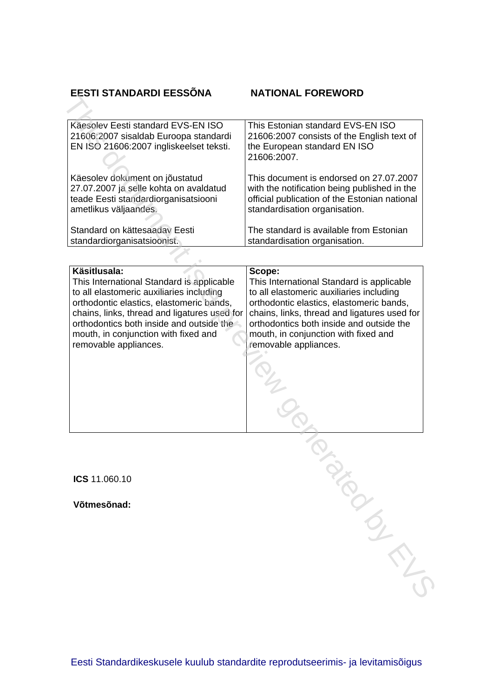# **EESTI STANDARDI EESSÕNA**

| EESTI STANDARDI EESSÕNA                                                                                                                                                                                                                                                                                        | <b>NATIONAL FOREWORD</b>                                                                                                                                                                                                                                                                                 |
|----------------------------------------------------------------------------------------------------------------------------------------------------------------------------------------------------------------------------------------------------------------------------------------------------------------|----------------------------------------------------------------------------------------------------------------------------------------------------------------------------------------------------------------------------------------------------------------------------------------------------------|
|                                                                                                                                                                                                                                                                                                                |                                                                                                                                                                                                                                                                                                          |
| Käesolev Eesti standard EVS-EN ISO<br>21606:2007 sisaldab Euroopa standardi<br>EN ISO 21606:2007 ingliskeelset teksti.                                                                                                                                                                                         | This Estonian standard EVS-EN ISO<br>21606:2007 consists of the English text of<br>the European standard EN ISO<br>21606:2007.                                                                                                                                                                           |
|                                                                                                                                                                                                                                                                                                                |                                                                                                                                                                                                                                                                                                          |
| Käesolev dokument on jõustatud<br>27.07.2007 ja selle kohta on avaldatud<br>teade Eesti standardiorganisatsiooni<br>ametlikus väljaandes.                                                                                                                                                                      | This document is endorsed on 27.07.2007<br>with the notification being published in the<br>official publication of the Estonian national<br>standardisation organisation.                                                                                                                                |
| Standard on kättesaadav Eesti<br>standardiorganisatsioonist.                                                                                                                                                                                                                                                   | The standard is available from Estonian<br>standardisation organisation.                                                                                                                                                                                                                                 |
|                                                                                                                                                                                                                                                                                                                |                                                                                                                                                                                                                                                                                                          |
| Käsitlusala:<br>This International Standard is applicable<br>to all elastomeric auxiliaries including<br>orthodontic elastics, elastomeric bands,<br>chains, links, thread and ligatures used for<br>orthodontics both inside and outside the<br>mouth, in conjunction with fixed and<br>removable appliances. | Scope:<br>This International Standard is applicable<br>to all elastomeric auxiliaries including<br>orthodontic elastics, elastomeric bands,<br>chains, links, thread and ligatures used for<br>orthodontics both inside and outside the<br>mouth, in conjunction with fixed and<br>removable appliances. |
|                                                                                                                                                                                                                                                                                                                |                                                                                                                                                                                                                                                                                                          |
|                                                                                                                                                                                                                                                                                                                |                                                                                                                                                                                                                                                                                                          |
| ICS 11.060.10                                                                                                                                                                                                                                                                                                  |                                                                                                                                                                                                                                                                                                          |
| Võtmesõnad:                                                                                                                                                                                                                                                                                                    |                                                                                                                                                                                                                                                                                                          |
|                                                                                                                                                                                                                                                                                                                |                                                                                                                                                                                                                                                                                                          |
|                                                                                                                                                                                                                                                                                                                |                                                                                                                                                                                                                                                                                                          |
|                                                                                                                                                                                                                                                                                                                |                                                                                                                                                                                                                                                                                                          |
|                                                                                                                                                                                                                                                                                                                |                                                                                                                                                                                                                                                                                                          |
|                                                                                                                                                                                                                                                                                                                |                                                                                                                                                                                                                                                                                                          |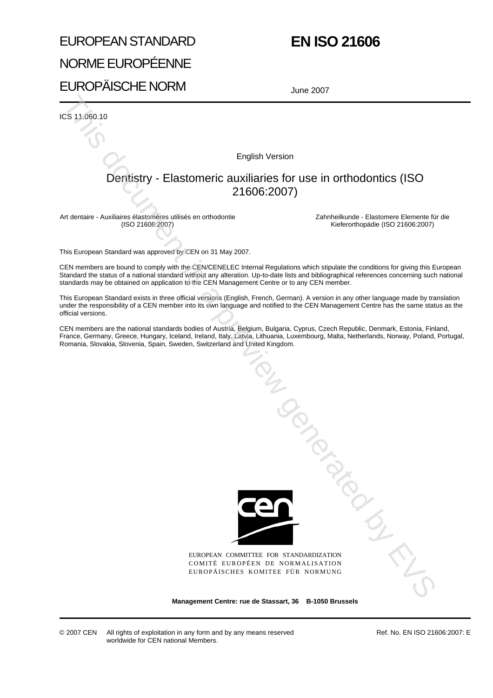# EUROPEAN STANDARD NORME EUROPÉENNE EUROPÄISCHE NORM

# **EN ISO 21606**

June 2007

ICS 11.060.10

English Version

# Dentistry - Elastomeric auxiliaries for use in orthodontics (ISO 21606:2007)

Art dentaire - Auxiliaires élastomères utilisés en orthodontie (ISO 21606:2007)

Zahnheilkunde - Elastomere Elemente für die Kieferorthopädie (ISO 21606:2007)

This European Standard was approved by CEN on 31 May 2007.

CEN members are bound to comply with the CEN/CENELEC Internal Regulations which stipulate the conditions for giving this European Standard the status of a national standard without any alteration. Up-to-date lists and bibliographical references concerning such national standards may be obtained on application to the CEN Management Centre or to any CEN member.

This European Standard exists in three official versions (English, French, German). A version in any other language made by translation under the responsibility of a CEN member into its own language and notified to the CEN Management Centre has the same status as the official versions.

CEN members are the national standards bodies of Austria, Belgium, Bulgaria, Cyprus, Czech Republic, Denmark, Estonia, Finland, France, Germany, Greece, Hungary, Iceland, Ireland, Italy, Latvia, Lithuania, Luxembourg, Malta, Netherlands, Norway, Poland, Portugal, Romania, Slovakia, Slovenia, Spain, Sweden, Switzerland and United Kingdom.



EUROPEAN COMMITTEE FOR STANDARDIZATION COMITÉ EUROPÉEN DE NORMALISATION EUROPÄISCHES KOMITEE FÜR NORMUNG Tanguay and Manuscript

**Management Centre: rue de Stassart, 36 B-1050 Brussels**

© 2007 CEN All rights of exploitation in any form and by any means reserved worldwide for CEN national Members.

Ref. No. EN ISO 21606:2007: E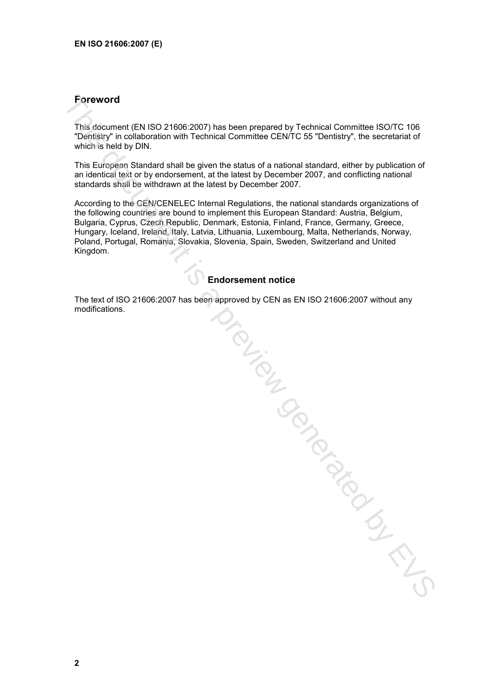# **Foreword**

This document (EN ISO 21606:2007) has been prepared by Technical Committee ISO/TC 106 "Dentistry" in collaboration with Technical Committee CEN/TC 55 "Dentistry", the secretariat of which is held by DIN.

This European Standard shall be given the status of a national standard, either by publication of an identical text or by endorsement, at the latest by December 2007, and conflicting national standards shall be withdrawn at the latest by December 2007.

According to the CEN/CENELEC Internal Regulations, the national standards organizations of the following countries are bound to implement this European Standard: Austria, Belgium, Bulgaria, Cyprus, Czech Republic, Denmark, Estonia, Finland, France, Germany, Greece, Hungary, Iceland, Ireland, Italy, Latvia, Lithuania, Luxembourg, Malta, Netherlands, Norway, Poland, Portugal, Romania, Slovakia, Slovenia, Spain, Sweden, Switzerland and United Kingdom.

# **Endorsement notice**

The text of ISO 21606:2007 has been approved by CEN as EN ISO 21606:2007 without any The text of ISO 21606:2007 has been approved by CEN as EN ISO 21606:2007 www.w.v.v.,<br>modifications.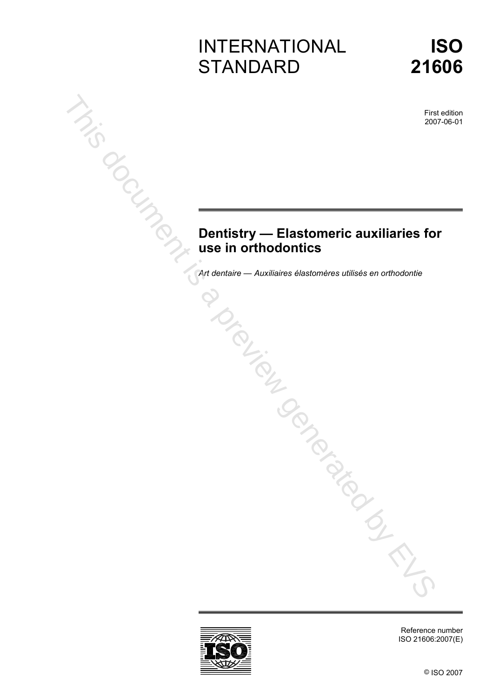# INTERNATIONAL **STANDARD**



First edition 2007-06-01

# **Dentistry — Elastomeric auxiliaries for use in orthodontics**  *Art dentistry —* Elastomeric auxiliaries for<br> **Dentistry — Elastomeric auxiliaries for**<br>
Contentaire en orthodontie<br>
Contentaire dentistres utilisés en orthodontie<br>
Contentaire<br>
Contentaire<br>
Contentaire<br>
Contentaire des p



Reference number ISO 21606:2007(E)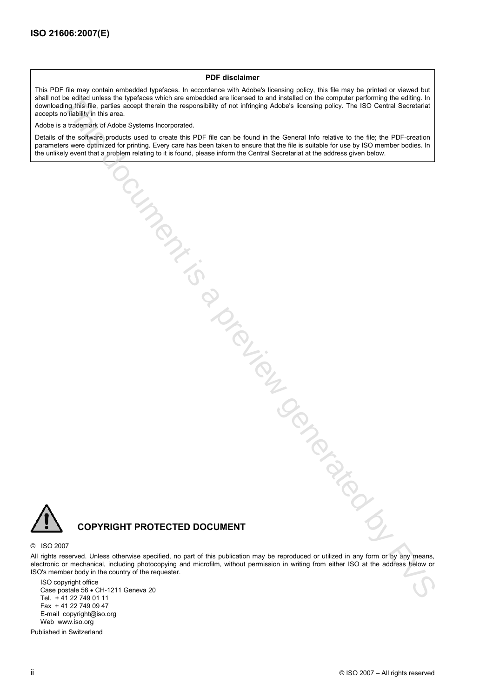### **PDF disclaimer**

This PDF file may contain embedded typefaces. In accordance with Adobe's licensing policy, this file may be printed or viewed but shall not be edited unless the typefaces which are embedded are licensed to and installed on the computer performing the editing. In downloading this file, parties accept therein the responsibility of not infringing Adobe's licensing policy. The ISO Central Secretariat accepts no liability in this area. the substantial three contents which are entertoined in the content of the computer section property and the content<br>of the substantial of Addis Polytein into the contents of the content of the content of the content of th

Adobe is a trademark of Adobe Systems Incorporated.

Details of the software products used to create this PDF file can be found in the General Info relative to the file; the PDF-creation parameters were optimized for printing. Every care has been taken to ensure that the file is suitable for use by ISO member bodies. In the unlikely event that a problem relating to it is found, please inform the Central Secretariat at the address given below.



# **COPYRIGHT PROTECTED DOCUMENT**

### © ISO 2007

All rights reserved. Unless otherwise specified, no part of this publication may be reproduced or utilized in any form or by any means, electronic or mechanical, including photocopying and microfilm, without permission in writing from either ISO at the address below or ISO's member body in the country of the requester.

ISO copyright office Case postale 56 • CH-1211 Geneva 20 Tel. + 41 22 749 01 11 Fax + 41 22 749 09 47 E-mail copyright@iso.org Web www.iso.org

Published in Switzerland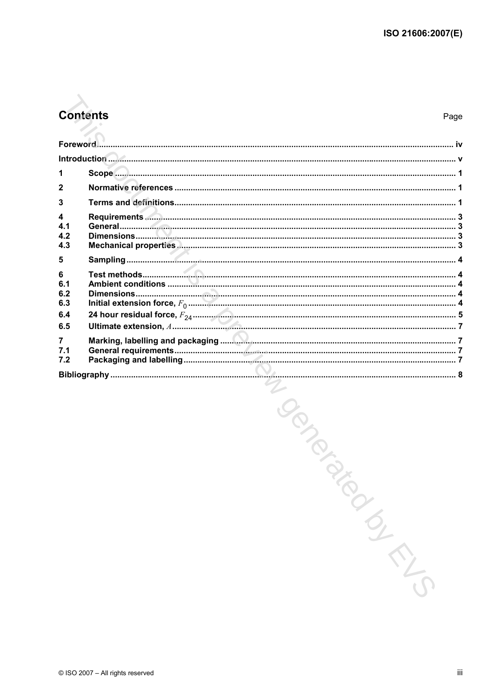# **Contents**

Page

|                                | Introduction 1.1 |  |
|--------------------------------|------------------|--|
| 1                              |                  |  |
| $\overline{2}$                 |                  |  |
| 3                              |                  |  |
| $\overline{\mathbf{4}}$<br>4.1 |                  |  |
| 4.2<br>4.3                     |                  |  |
| 5                              |                  |  |
| 6<br>6.1<br>6.2                |                  |  |
| 6.3                            |                  |  |
| 6.4<br>6.5                     |                  |  |
| $\overline{7}$<br>7.1<br>7.2   |                  |  |
|                                |                  |  |

MINGORN CONSTRUCTION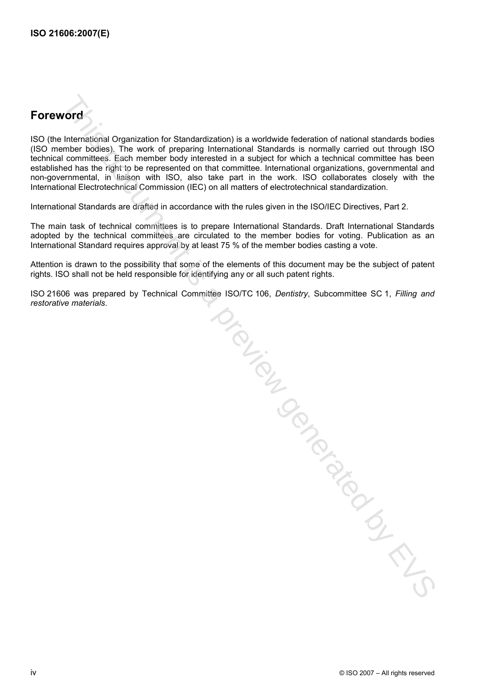# **Foreword**

ISO (the International Organization for Standardization) is a worldwide federation of national standards bodies (ISO member bodies). The work of preparing International Standards is normally carried out through ISO technical committees. Each member body interested in a subject for which a technical committee has been established has the right to be represented on that committee. International organizations, governmental and non-governmental, in liaison with ISO, also take part in the work. ISO collaborates closely with the International Electrotechnical Commission (IEC) on all matters of electrotechnical standardization.

International Standards are drafted in accordance with the rules given in the ISO/IEC Directives, Part 2.

The main task of technical committees is to prepare International Standards. Draft International Standards adopted by the technical committees are circulated to the member bodies for voting. Publication as an International Standard requires approval by at least 75 % of the member bodies casting a vote.

Attention is drawn to the possibility that some of the elements of this document may be the subject of patent rights. ISO shall not be held responsible for identifying any or all such patent rights.

ISO 21606 was prepared by Technical Committee ISO/TC 106, *Dentistry*, Subcommittee SC 1, *Filling and* 

*restorative materials.* The three discontrative is a preview generator, subscription of the state materials.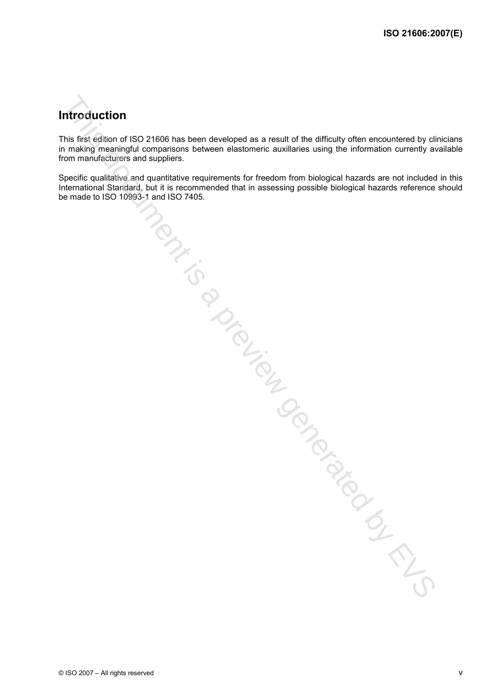# **Introduction**

This first edition of ISO 21606 has been developed as a result of the difficulty often encountered by clinicians in making meaningful comparisons between elastomeric auxillaries using the information currently available from manufacturers and suppliers.

Specific qualitative and quantitative requirements for freedom from biological hazards are not included in this International Standard, but it is recommended that in assessing possible biological hazards reference should<br>be made to ISO 10993-1 and ISO 7405. be made to the match of the Condition of the Condition of the Condition of the Condition of the Condition of the Condition of the Condition of the Condition of the Condition of the Condition of the Condition of the Conditi

© ISO 2007 – All rights reserved v